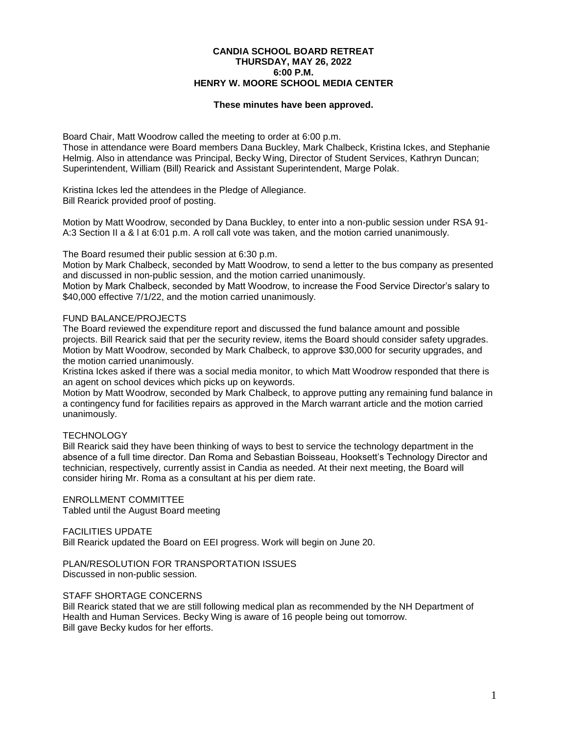## **CANDIA SCHOOL BOARD RETREAT THURSDAY, MAY 26, 2022 6:00 P.M. HENRY W. MOORE SCHOOL MEDIA CENTER**

#### **These minutes have been approved.**

Board Chair, Matt Woodrow called the meeting to order at 6:00 p.m.

Those in attendance were Board members Dana Buckley, Mark Chalbeck, Kristina Ickes, and Stephanie Helmig. Also in attendance was Principal, Becky Wing, Director of Student Services, Kathryn Duncan; Superintendent, William (Bill) Rearick and Assistant Superintendent, Marge Polak.

Kristina Ickes led the attendees in the Pledge of Allegiance. Bill Rearick provided proof of posting.

Motion by Matt Woodrow, seconded by Dana Buckley, to enter into a non-public session under RSA 91- A:3 Section II a & l at 6:01 p.m. A roll call vote was taken, and the motion carried unanimously.

The Board resumed their public session at 6:30 p.m.

Motion by Mark Chalbeck, seconded by Matt Woodrow, to send a letter to the bus company as presented and discussed in non-public session, and the motion carried unanimously.

Motion by Mark Chalbeck, seconded by Matt Woodrow, to increase the Food Service Director's salary to \$40,000 effective 7/1/22, and the motion carried unanimously.

#### FUND BALANCE/PROJECTS

The Board reviewed the expenditure report and discussed the fund balance amount and possible projects. Bill Rearick said that per the security review, items the Board should consider safety upgrades. Motion by Matt Woodrow, seconded by Mark Chalbeck, to approve \$30,000 for security upgrades, and the motion carried unanimously.

Kristina Ickes asked if there was a social media monitor, to which Matt Woodrow responded that there is an agent on school devices which picks up on keywords.

Motion by Matt Woodrow, seconded by Mark Chalbeck, to approve putting any remaining fund balance in a contingency fund for facilities repairs as approved in the March warrant article and the motion carried unanimously.

## **TECHNOLOGY**

Bill Rearick said they have been thinking of ways to best to service the technology department in the absence of a full time director. Dan Roma and Sebastian Boisseau, Hooksett's Technology Director and technician, respectively, currently assist in Candia as needed. At their next meeting, the Board will consider hiring Mr. Roma as a consultant at his per diem rate.

ENROLLMENT COMMITTEE

Tabled until the August Board meeting

## FACILITIES UPDATE

Bill Rearick updated the Board on EEI progress. Work will begin on June 20.

PLAN/RESOLUTION FOR TRANSPORTATION ISSUES Discussed in non-public session.

## STAFF SHORTAGE CONCERNS

Bill Rearick stated that we are still following medical plan as recommended by the NH Department of Health and Human Services. Becky Wing is aware of 16 people being out tomorrow. Bill gave Becky kudos for her efforts.